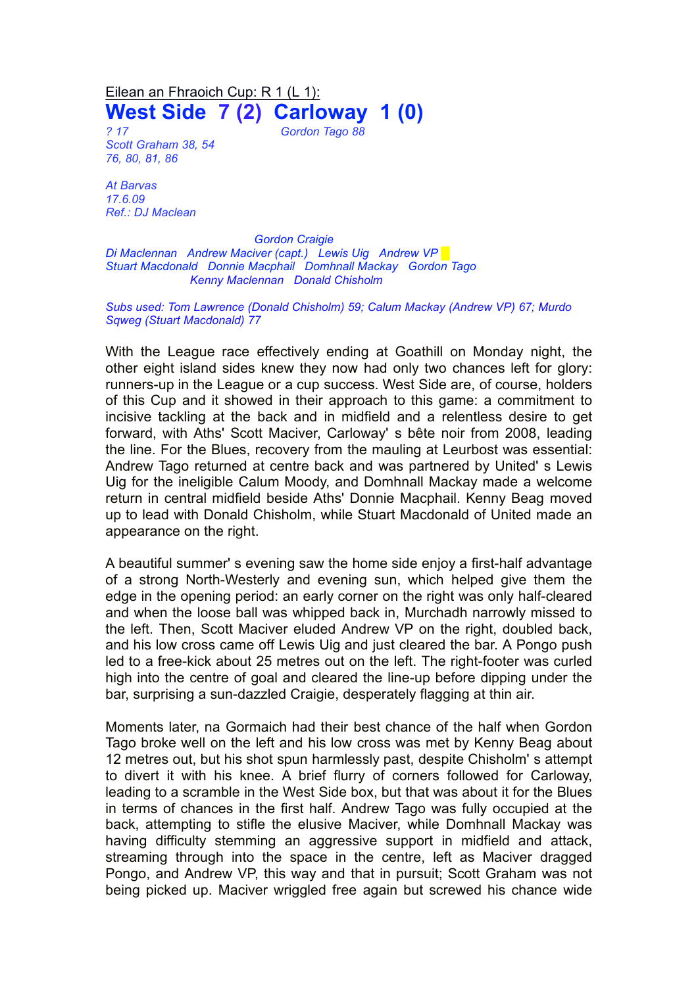Eilean an Fhraoich Cup: R 1 (L 1): **West Side 7 (2) Carloway 1 (0)**

*? 17 Gordon Tago 88 Scott Graham 38, 54 76, 80, 81, 86*

*At Barvas*

*17.6.09 Ref.: DJ Maclean*

*Gordon Craigie Di Maclennan Andrew Maciver (capt.) Lewis Uig Andrew VP █ Stuart Macdonald Donnie Macphail Domhnall Mackay Gordon Tago Kenny Maclennan Donald Chisholm*

*Subs used: Tom Lawrence (Donald Chisholm) 59; Calum Mackay (Andrew VP) 67; Murdo Sqweg (Stuart Macdonald) 77*

With the League race effectively ending at Goathill on Monday night, the other eight island sides knew they now had only two chances left for glory: runners-up in the League or a cup success. West Side are, of course, holders of this Cup and it showed in their approach to this game: a commitment to incisive tackling at the back and in midfield and a relentless desire to get forward, with Aths' Scott Maciver, Carloway' s bête noir from 2008, leading the line. For the Blues, recovery from the mauling at Leurbost was essential: Andrew Tago returned at centre back and was partnered by United' s Lewis Uig for the ineligible Calum Moody, and Domhnall Mackay made a welcome return in central midfield beside Aths' Donnie Macphail. Kenny Beag moved up to lead with Donald Chisholm, while Stuart Macdonald of United made an appearance on the right.

A beautiful summer' s evening saw the home side enjoy a first-half advantage of a strong North-Westerly and evening sun, which helped give them the edge in the opening period: an early corner on the right was only half-cleared and when the loose ball was whipped back in, Murchadh narrowly missed to the left. Then, Scott Maciver eluded Andrew VP on the right, doubled back, and his low cross came off Lewis Uig and just cleared the bar. A Pongo push led to a free-kick about 25 metres out on the left. The right-footer was curled high into the centre of goal and cleared the line-up before dipping under the bar, surprising a sun-dazzled Craigie, desperately flagging at thin air.

Moments later, na Gormaich had their best chance of the half when Gordon Tago broke well on the left and his low cross was met by Kenny Beag about 12 metres out, but his shot spun harmlessly past, despite Chisholm' s attempt to divert it with his knee. A brief flurry of corners followed for Carloway, leading to a scramble in the West Side box, but that was about it for the Blues in terms of chances in the first half. Andrew Tago was fully occupied at the back, attempting to stifle the elusive Maciver, while Domhnall Mackay was having difficulty stemming an aggressive support in midfield and attack, streaming through into the space in the centre, left as Maciver dragged Pongo, and Andrew VP, this way and that in pursuit; Scott Graham was not being picked up. Maciver wriggled free again but screwed his chance wide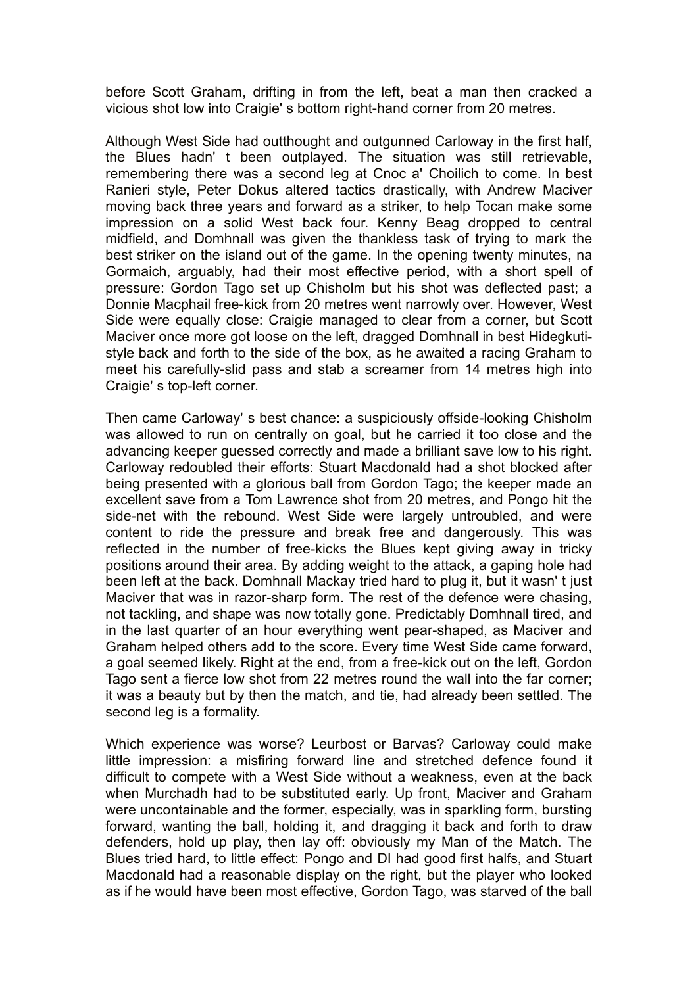before Scott Graham, drifting in from the left, beat a man then cracked a vicious shot low into Craigie' s bottom right-hand corner from 20 metres.

Although West Side had outthought and outgunned Carloway in the first half, the Blues hadn' t been outplayed. The situation was still retrievable, remembering there was a second leg at Cnoc a' Choilich to come. In best Ranieri style, Peter Dokus altered tactics drastically, with Andrew Maciver moving back three years and forward as a striker, to help Tocan make some impression on a solid West back four. Kenny Beag dropped to central midfield, and Domhnall was given the thankless task of trying to mark the best striker on the island out of the game. In the opening twenty minutes, na Gormaich, arguably, had their most effective period, with a short spell of pressure: Gordon Tago set up Chisholm but his shot was deflected past; a Donnie Macphail free-kick from 20 metres went narrowly over. However, West Side were equally close: Craigie managed to clear from a corner, but Scott Maciver once more got loose on the left, dragged Domhnall in best Hidegkutistyle back and forth to the side of the box, as he awaited a racing Graham to meet his carefully-slid pass and stab a screamer from 14 metres high into Craigie' s top-left corner.

Then came Carloway' s best chance: a suspiciously offside-looking Chisholm was allowed to run on centrally on goal, but he carried it too close and the advancing keeper guessed correctly and made a brilliant save low to his right. Carloway redoubled their efforts: Stuart Macdonald had a shot blocked after being presented with a glorious ball from Gordon Tago; the keeper made an excellent save from a Tom Lawrence shot from 20 metres, and Pongo hit the side-net with the rebound. West Side were largely untroubled, and were content to ride the pressure and break free and dangerously. This was reflected in the number of free-kicks the Blues kept giving away in tricky positions around their area. By adding weight to the attack, a gaping hole had been left at the back. Domhnall Mackay tried hard to plug it, but it wasn' t just Maciver that was in razor-sharp form. The rest of the defence were chasing, not tackling, and shape was now totally gone. Predictably Domhnall tired, and in the last quarter of an hour everything went pear-shaped, as Maciver and Graham helped others add to the score. Every time West Side came forward, a goal seemed likely. Right at the end, from a free-kick out on the left, Gordon Tago sent a fierce low shot from 22 metres round the wall into the far corner; it was a beauty but by then the match, and tie, had already been settled. The second leg is a formality.

Which experience was worse? Leurbost or Barvas? Carloway could make little impression: a misfiring forward line and stretched defence found it difficult to compete with a West Side without a weakness, even at the back when Murchadh had to be substituted early. Up front, Maciver and Graham were uncontainable and the former, especially, was in sparkling form, bursting forward, wanting the ball, holding it, and dragging it back and forth to draw defenders, hold up play, then lay off: obviously my Man of the Match. The Blues tried hard, to little effect: Pongo and DI had good first halfs, and Stuart Macdonald had a reasonable display on the right, but the player who looked as if he would have been most effective, Gordon Tago, was starved of the ball